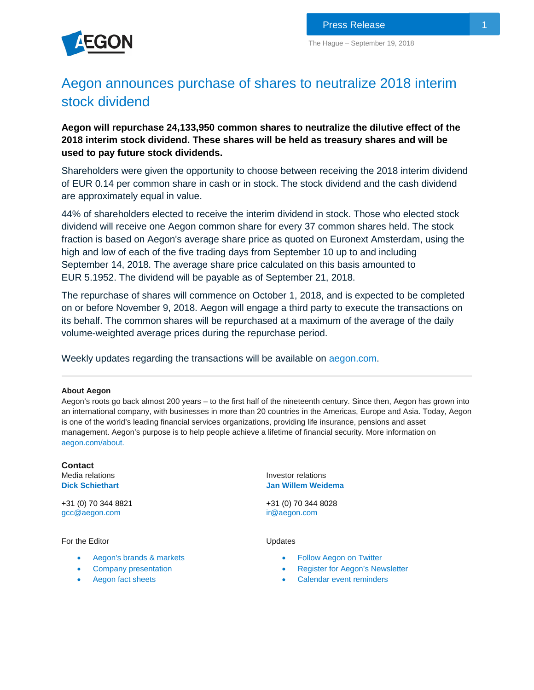

## Aegon announces purchase of shares to neutralize 2018 interim stock dividend

**Aegon will repurchase 24,133,950 common shares to neutralize the dilutive effect of the 2018 interim stock dividend. These shares will be held as treasury shares and will be used to pay future stock dividends.**

Shareholders were given the opportunity to choose between receiving the 2018 interim dividend of EUR 0.14 per common share in cash or in stock. The stock dividend and the cash dividend are approximately equal in value.

44% of shareholders elected to receive the interim dividend in stock. Those who elected stock dividend will receive one Aegon common share for every 37 common shares held. The stock fraction is based on Aegon's average share price as quoted on Euronext Amsterdam, using the high and low of each of the five trading days from September 10 up to and including September 14, 2018. The average share price calculated on this basis amounted to EUR 5.1952. The dividend will be payable as of September 21, 2018.

The repurchase of shares will commence on October 1, 2018, and is expected to be completed on or before November 9, 2018. Aegon will engage a third party to execute the transactions on its behalf. The common shares will be repurchased at a maximum of the average of the daily volume-weighted average prices during the repurchase period.

Weekly updates regarding the transactions will be available on [aegon.com.](https://www.aegon.com/investors/shareholders/share-buyback-program/)

## **About Aegon**

Aegon's roots go back almost 200 years – to the first half of the nineteenth century. Since then, Aegon has grown into an international company, with businesses in more than 20 countries in the Americas, Europe and Asia. Today, Aegon is one of the world's leading financial services organizations, providing life insurance, pensions and asset management. Aegon's purpose is to help people achieve a lifetime of financial security. More information on [aegon.com/about.](http://www.aegon.com/about)

**Contact** Media relations **[Dick S](http://www.aegon.com/Home/Investors/Contact/Media-Team/#50477)chiethart**

+31 (0) 70 344 8821 [gcc@aegon.com](mailto:gcc@aegon.com)

For the Editor

- [Aegon's brands & markets](https://www.aegon.com/about/brands-markets/)
- [Company presentation](https://www.aegon.com/contentassets/5a4ae82a6dbf4e3f8a9b891bfb1fdcb4/introduction-to-aegon.pdf)
- [Aegon fact sheets](https://www.aegon.com/newsroom/fact-sheets/)

Investor relations **[Jan Willem Weidema](http://www.aegon.com/en/Home/Investors/Contact/Investor-Relations-Team/#34471)** 

+31 (0) 70 344 8028 [ir@aegon.com](mailto:ir@aegon.com)

Updates

- [Follow Aegon on Twitter](http://twitter.com/Aegon)
- [Register for Aegon's Newsletter](http://aegon.us8.list-manage.com/subscribe?u=bed4350c3e2011a47e35e8081&id=8bc411d73f)
- [Calendar event reminders](https://www.aegon.com/investors/calendar/)